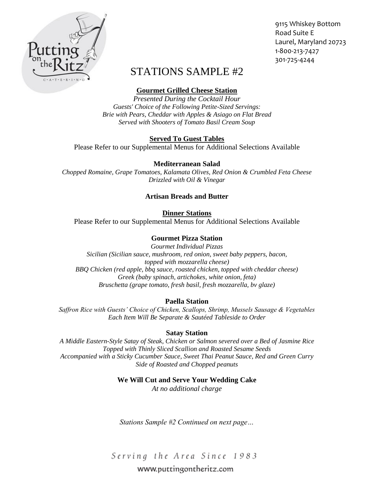

9115 Whiskey Bottom Road Suite E Laurel, Maryland 20723 1-800-213-7427 301-725-4244

# STATIONS SAMPLE #2

# **Gourmet Grilled Cheese Station**

*Presented During the Cocktail Hour Guests' Choice of the Following Petite-Sized Servings: Brie with Pears, Cheddar with Apples & Asiago on Flat Bread Served with Shooters of Tomato Basil Cream Soup*

# **Served To Guest Tables**

Please Refer to our Supplemental Menus for Additional Selections Available

#### **Mediterranean Salad**

*Chopped Romaine, Grape Tomatoes, Kalamata Olives, Red Onion & Crumbled Feta Cheese Drizzled with Oil & Vinegar*

### **Artisan Breads and Butter**

**Dinner Stations**

Please Refer to our Supplemental Menus for Additional Selections Available

# **Gourmet Pizza Station**

*Gourmet Individual Pizzas Sicilian (Sicilian sauce, mushroom, red onion, sweet baby peppers, bacon, topped with mozzarella cheese) BBQ Chicken (red apple, bbq sauce, roasted chicken, topped with cheddar cheese) Greek (baby spinach, artichokes, white onion, feta) Bruschetta (grape tomato, fresh basil, fresh mozzarella, bv glaze)*

#### **Paella Station**

*Saffron Rice with Guests' Choice of Chicken, Scallops, Shrimp, Mussels Sausage & Vegetables Each Item Will Be Separate & Sautéed Tableside to Order*

#### **Satay Station**

*A Middle Eastern-Style Satay of Steak, Chicken or Salmon severed over a Bed of Jasmine Rice Topped with Thinly Sliced Scallion and Roasted Sesame Seeds Accompanied with a Sticky Cucumber Sauce, Sweet Thai Peanut Sauce, Red and Green Curry Side of Roasted and Chopped peanuts*

#### **We Will Cut and Serve Your Wedding Cake**

*At no additional charge*

*Stations Sample #2 Continued on next page…*

Serving the Area Since 1983

# www.puttingontheritz.com